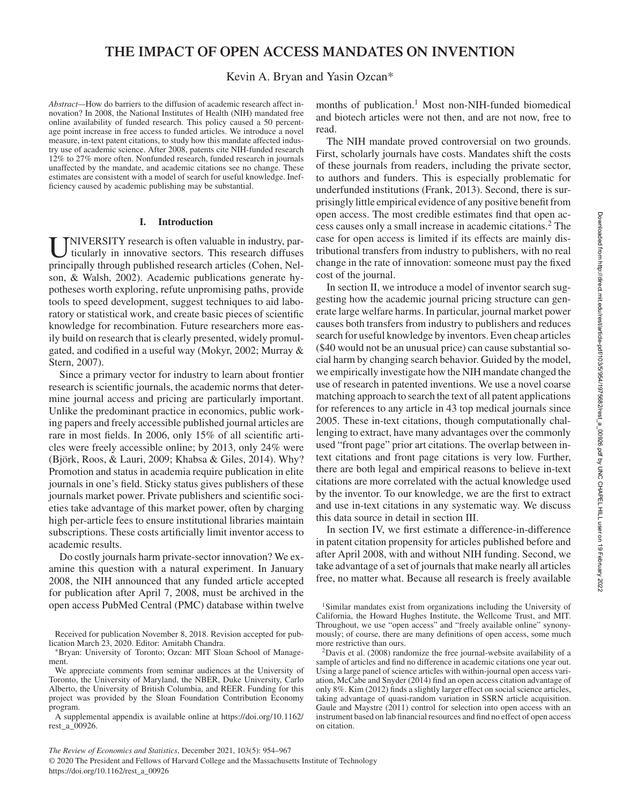# **THE IMPACT OF OPEN ACCESS MANDATES ON INVENTION**

## Kevin A. Bryan and Yasin Ozcan\*

*Abstract—*How do barriers to the diffusion of academic research affect innovation? In 2008, the National Institutes of Health (NIH) mandated free online availability of funded research. This policy caused a 50 percentage point increase in free access to funded articles. We introduce a novel measure, in-text patent citations, to study how this mandate affected industry use of academic science. After 2008, patents cite NIH-funded research 12% to 27% more often. Nonfunded research, funded research in journals unaffected by the mandate, and academic citations see no change. These estimates are consistent with a model of search for useful knowledge. Inefficiency caused by academic publishing may be substantial.

#### **I. Introduction**

UNIVERSITY research is often valuable in industry, particularly in innovative sectors. This research diffuses principally through published research articles (Cohen, Nel-NIVERSITY research is often valuable in industry, particularly in innovative sectors. This research diffuses son, & Walsh, 2002). Academic publications generate hypotheses worth exploring, refute unpromising paths, provide tools to speed development, suggest techniques to aid laboratory or statistical work, and create basic pieces of scientific knowledge for recombination. Future researchers more easily build on research that is clearly presented, widely promulgated, and codified in a useful way (Mokyr, 2002; Murray & Stern, 2007).

Since a primary vector for industry to learn about frontier research is scientific journals, the academic norms that determine journal access and pricing are particularly important. Unlike the predominant practice in economics, public working papers and freely accessible published journal articles are rare in most fields. In 2006, only 15% of all scientific articles were freely accessible online; by 2013, only 24% were (Björk, Roos, & Lauri, 2009; Khabsa & Giles, 2014). Why? Promotion and status in academia require publication in elite journals in one's field. Sticky status gives publishers of these journals market power. Private publishers and scientific societies take advantage of this market power, often by charging high per-article fees to ensure institutional libraries maintain subscriptions. These costs artificially limit inventor access to academic results.

Do costly journals harm private-sector innovation? We examine this question with a natural experiment. In January 2008, the NIH announced that any funded article accepted for publication after April 7, 2008, must be archived in the open access PubMed Central (PMC) database within twelve months of publication.<sup>1</sup> Most non-NIH-funded biomedical and biotech articles were not then, and are not now, free to read.

The NIH mandate proved controversial on two grounds. First, scholarly journals have costs. Mandates shift the costs of these journals from readers, including the private sector, to authors and funders. This is especially problematic for underfunded institutions (Frank, 2013). Second, there is surprisingly little empirical evidence of any positive benefit from open access. The most credible estimates find that open access causes only a small increase in academic citations.<sup>2</sup> The case for open access is limited if its effects are mainly distributional transfers from industry to publishers, with no real change in the rate of innovation: someone must pay the fixed cost of the journal.

In section II, we introduce a model of inventor search suggesting how the academic journal pricing structure can generate large welfare harms. In particular, journal market power causes both transfers from industry to publishers and reduces search for useful knowledge by inventors. Even cheap articles (\$40 would not be an unusual price) can cause substantial social harm by changing search behavior. Guided by the model, we empirically investigate how the NIH mandate changed the use of research in patented inventions. We use a novel coarse matching approach to search the text of all patent applications for references to any article in 43 top medical journals since 2005. These in-text citations, though computationally challenging to extract, have many advantages over the commonly used "front page" prior art citations. The overlap between intext citations and front page citations is very low. Further, there are both legal and empirical reasons to believe in-text citations are more correlated with the actual knowledge used by the inventor. To our knowledge, we are the first to extract and use in-text citations in any systematic way. We discuss this data source in detail in section III.

In section IV, we first estimate a difference-in-difference in patent citation propensity for articles published before and after April 2008, with and without NIH funding. Second, we take advantage of a set of journals that make nearly all articles free, no matter what. Because all research is freely available

© 2020 The President and Fellows of Harvard College and the Massachusetts Institute of Technology https://doi.org/10.1162/rest\_a\_00926

Received for publication November 8, 2018. Revision accepted for publication March 23, 2020. Editor: Amitabh Chandra.

<sup>∗</sup>Bryan: University of Toronto; Ozcan: MIT Sloan School of Management.

We appreciate comments from seminar audiences at the University of Toronto, the University of Maryland, the NBER, Duke University, Carlo Alberto, the University of British Columbia, and REER. Funding for this project was provided by the Sloan Foundation Contribution Economy program.

A supplemental appendix is available online at https://doi.org/10.1162/ rest\_a\_00926.

<sup>&</sup>lt;sup>1</sup>Similar mandates exist from organizations including the University of California, the Howard Hughes Institute, the Wellcome Trust, and MIT. Throughout, we use "open access" and "freely available online" synonymously; of course, there are many definitions of open access, some much more restrictive than ours.

<sup>2</sup>Davis et al. (2008) randomize the free journal-website availability of a sample of articles and find no difference in academic citations one year out. Using a large panel of science articles with within-journal open access variation, McCabe and Snyder (2014) find an open access citation advantage of only 8%. Kim (2012) finds a slightly larger effect on social science articles, taking advantage of quasi-random variation in SSRN article acquisition. Gaule and Maystre (2011) control for selection into open access with an instrument based on lab financial resources and find no effect of open access on citation.

*The Review of Economics and Statistics*, December 2021, 103(5): 954–967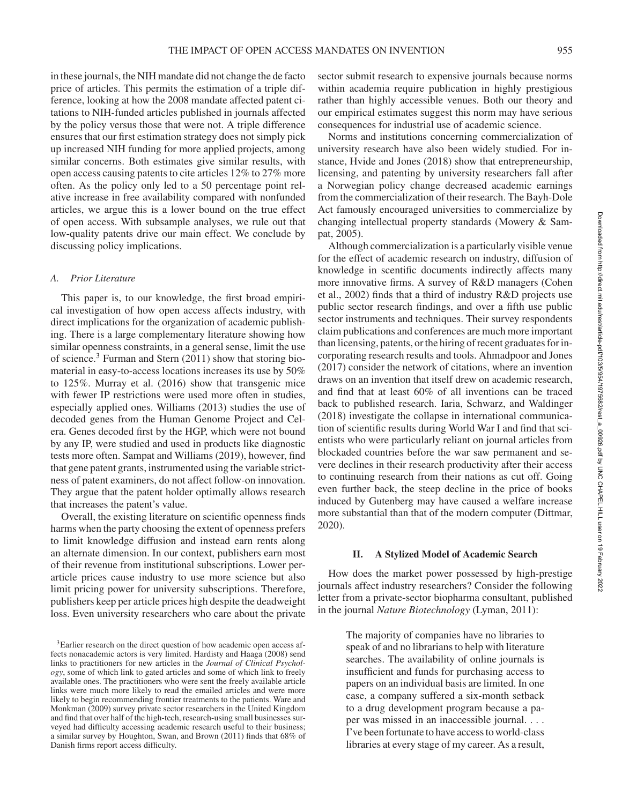in these journals, the NIH mandate did not change the de facto price of articles. This permits the estimation of a triple difference, looking at how the 2008 mandate affected patent citations to NIH-funded articles published in journals affected by the policy versus those that were not. A triple difference ensures that our first estimation strategy does not simply pick up increased NIH funding for more applied projects, among similar concerns. Both estimates give similar results, with open access causing patents to cite articles 12% to 27% more often. As the policy only led to a 50 percentage point relative increase in free availability compared with nonfunded articles, we argue this is a lower bound on the true effect of open access. With subsample analyses, we rule out that low-quality patents drive our main effect. We conclude by discussing policy implications.

### *A. Prior Literature*

This paper is, to our knowledge, the first broad empirical investigation of how open access affects industry, with direct implications for the organization of academic publishing. There is a large complementary literature showing how similar openness constraints, in a general sense, limit the use of science.<sup>3</sup> Furman and Stern (2011) show that storing biomaterial in easy-to-access locations increases its use by 50% to 125%. Murray et al. (2016) show that transgenic mice with fewer IP restrictions were used more often in studies, especially applied ones. Williams (2013) studies the use of decoded genes from the Human Genome Project and Celera. Genes decoded first by the HGP, which were not bound by any IP, were studied and used in products like diagnostic tests more often. Sampat and Williams (2019), however, find that gene patent grants, instrumented using the variable strictness of patent examiners, do not affect follow-on innovation. They argue that the patent holder optimally allows research that increases the patent's value.

Overall, the existing literature on scientific openness finds harms when the party choosing the extent of openness prefers to limit knowledge diffusion and instead earn rents along an alternate dimension. In our context, publishers earn most of their revenue from institutional subscriptions. Lower perarticle prices cause industry to use more science but also limit pricing power for university subscriptions. Therefore, publishers keep per article prices high despite the deadweight loss. Even university researchers who care about the private

sector submit research to expensive journals because norms within academia require publication in highly prestigious rather than highly accessible venues. Both our theory and our empirical estimates suggest this norm may have serious consequences for industrial use of academic science.

Norms and institutions concerning commercialization of university research have also been widely studied. For instance, Hvide and Jones (2018) show that entrepreneurship, licensing, and patenting by university researchers fall after a Norwegian policy change decreased academic earnings from the commercialization of their research. The Bayh-Dole Act famously encouraged universities to commercialize by changing intellectual property standards (Mowery & Sampat, 2005).

Although commercialization is a particularly visible venue for the effect of academic research on industry, diffusion of knowledge in scentific documents indirectly affects many more innovative firms. A survey of R&D managers (Cohen et al., 2002) finds that a third of industry R&D projects use public sector research findings, and over a fifth use public sector instruments and techniques. Their survey respondents claim publications and conferences are much more important than licensing, patents, or the hiring of recent graduates for incorporating research results and tools. Ahmadpoor and Jones (2017) consider the network of citations, where an invention draws on an invention that itself drew on academic research, and find that at least 60% of all inventions can be traced back to published research. Iaria, Schwarz, and Waldinger (2018) investigate the collapse in international communication of scientific results during World War I and find that scientists who were particularly reliant on journal articles from blockaded countries before the war saw permanent and severe declines in their research productivity after their access to continuing research from their nations as cut off. Going even further back, the steep decline in the price of books induced by Gutenberg may have caused a welfare increase more substantial than that of the modern computer (Dittmar, 2020).

#### **II. A Stylized Model of Academic Search**

How does the market power possessed by high-prestige journals affect industry researchers? Consider the following letter from a private-sector biopharma consultant, published in the journal *Nature Biotechnology* (Lyman, 2011):

> The majority of companies have no libraries to speak of and no librarians to help with literature searches. The availability of online journals is insufficient and funds for purchasing access to papers on an individual basis are limited. In one case, a company suffered a six-month setback to a drug development program because a paper was missed in an inaccessible journal. . . . I've been fortunate to have access to world-class libraries at every stage of my career. As a result,

<sup>&</sup>lt;sup>3</sup>Earlier research on the direct question of how academic open access affects nonacademic actors is very limited. Hardisty and Haaga (2008) send links to practitioners for new articles in the *Journal of Clinical Psychology*, some of which link to gated articles and some of which link to freely available ones. The practitioners who were sent the freely available article links were much more likely to read the emailed articles and were more likely to begin recommending frontier treatments to the patients. Ware and Monkman (2009) survey private sector researchers in the United Kingdom and find that over half of the high-tech, research-using small businesses surveyed had difficulty accessing academic research useful to their business; a similar survey by Houghton, Swan, and Brown (2011) finds that 68% of Danish firms report access difficulty.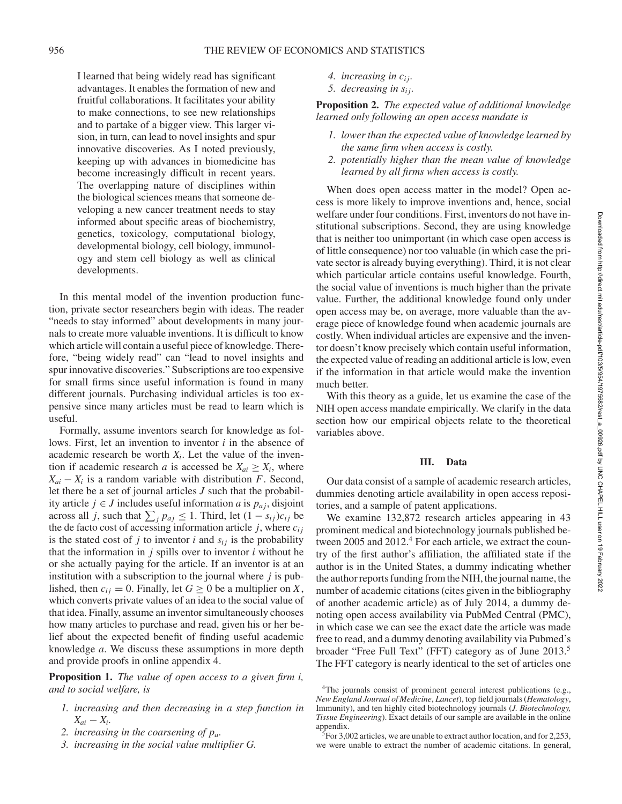I learned that being widely read has significant advantages. It enables the formation of new and fruitful collaborations. It facilitates your ability to make connections, to see new relationships and to partake of a bigger view. This larger vision, in turn, can lead to novel insights and spur innovative discoveries. As I noted previously, keeping up with advances in biomedicine has become increasingly difficult in recent years. The overlapping nature of disciplines within the biological sciences means that someone developing a new cancer treatment needs to stay informed about specific areas of biochemistry, genetics, toxicology, computational biology, developmental biology, cell biology, immunology and stem cell biology as well as clinical developments.

In this mental model of the invention production function, private sector researchers begin with ideas. The reader "needs to stay informed" about developments in many journals to create more valuable inventions. It is difficult to know which article will contain a useful piece of knowledge. Therefore, "being widely read" can "lead to novel insights and spur innovative discoveries." Subscriptions are too expensive for small firms since useful information is found in many different journals. Purchasing individual articles is too expensive since many articles must be read to learn which is useful.

Formally, assume inventors search for knowledge as follows. First, let an invention to inventor *i* in the absence of academic research be worth  $X_i$ . Let the value of the invention if academic research *a* is accessed be  $X_{ai} \geq X_i$ , where  $X_{ai} - X_i$  is a random variable with distribution *F*. Second, let there be a set of journal articles *J* such that the probability article *j* ∈ *J* includes useful information *a* is  $p_{a_j}$ , disjoint across all *j*, such that  $\sum_{j} p_{aj} \leq 1$ . Third, let  $(1 - s_{ij})c_{ij}$  be the de facto cost of accessing information article  $j$ , where  $c_{ij}$ is the stated cost of  $j$  to inventor  $i$  and  $s_{ij}$  is the probability that the information in  $j$  spills over to inventor  $i$  without he or she actually paying for the article. If an inventor is at an institution with a subscription to the journal where *j* is published, then  $c_{ij} = 0$ . Finally, let  $G \ge 0$  be a multiplier on X, which converts private values of an idea to the social value of that idea. Finally, assume an inventor simultaneously chooses how many articles to purchase and read, given his or her belief about the expected benefit of finding useful academic knowledge *a*. We discuss these assumptions in more depth and provide proofs in online appendix 4.

**Proposition 1.** *The value of open access to a given firm i, and to social welfare, is*

- *1. increasing and then decreasing in a step function in*  $X_{ai} - X_i$ .
- *2. increasing in the coarsening of pa.*
- *3. increasing in the social value multiplier G.*
- *4. increasing in ci j.*
- *5. decreasing in si j.*

**Proposition 2.** *The expected value of additional knowledge learned only following an open access mandate is*

- *1. lower than the expected value of knowledge learned by the same firm when access is costly.*
- *2. potentially higher than the mean value of knowledge learned by all firms when access is costly.*

When does open access matter in the model? Open access is more likely to improve inventions and, hence, social welfare under four conditions. First, inventors do not have institutional subscriptions. Second, they are using knowledge that is neither too unimportant (in which case open access is of little consequence) nor too valuable (in which case the private sector is already buying everything). Third, it is not clear which particular article contains useful knowledge. Fourth, the social value of inventions is much higher than the private value. Further, the additional knowledge found only under open access may be, on average, more valuable than the average piece of knowledge found when academic journals are costly. When individual articles are expensive and the inventor doesn't know precisely which contain useful information, the expected value of reading an additional article is low, even if the information in that article would make the invention much better.

With this theory as a guide, let us examine the case of the NIH open access mandate empirically. We clarify in the data section how our empirical objects relate to the theoretical variables above.

#### **III. Data**

Our data consist of a sample of academic research articles, dummies denoting article availability in open access repositories, and a sample of patent applications.

We examine 132,872 research articles appearing in 43 prominent medical and biotechnology journals published between 2005 and 2012.<sup>4</sup> For each article, we extract the country of the first author's affiliation, the affiliated state if the author is in the United States, a dummy indicating whether the author reports funding from the NIH, the journal name, the number of academic citations (cites given in the bibliography of another academic article) as of July 2014, a dummy denoting open access availability via PubMed Central (PMC), in which case we can see the exact date the article was made free to read, and a dummy denoting availability via Pubmed's broader "Free Full Text" (FFT) category as of June 2013.<sup>5</sup> The FFT category is nearly identical to the set of articles one

<sup>&</sup>lt;sup>4</sup>The journals consist of prominent general interest publications (e.g., *New England Journal of Medicine*, *Lancet*), top field journals (*Hematology*, Immunity), and ten highly cited biotechnology journals (*J. Biotechnology, Tissue Engineering*). Exact details of our sample are available in the online appendix.

 $5$ For 3,002 articles, we are unable to extract author location, and for 2,253, we were unable to extract the number of academic citations. In general,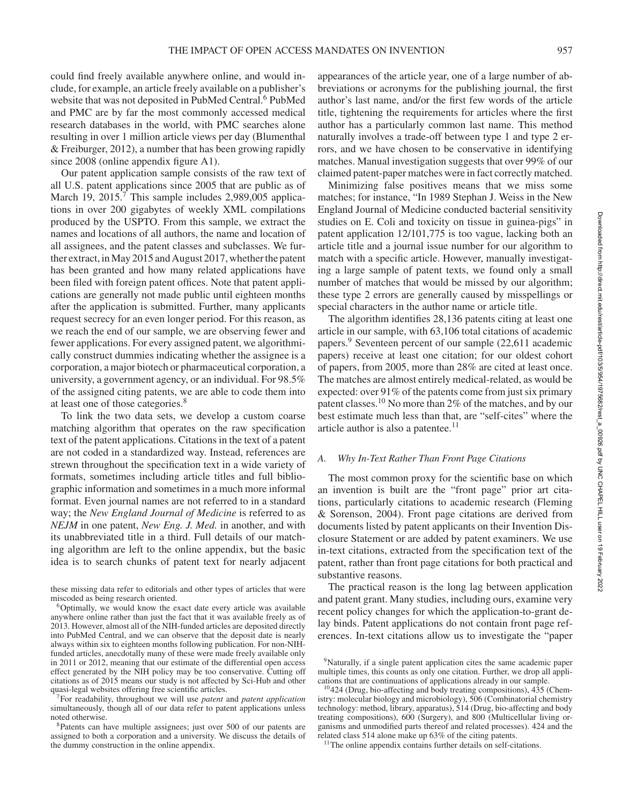could find freely available anywhere online, and would include, for example, an article freely available on a publisher's website that was not deposited in PubMed Central.<sup>6</sup> PubMed and PMC are by far the most commonly accessed medical research databases in the world, with PMC searches alone resulting in over 1 million article views per day (Blumenthal & Freiburger, 2012), a number that has been growing rapidly since 2008 (online appendix figure A1).

Our patent application sample consists of the raw text of all U.S. patent applications since 2005 that are public as of March 19,  $2015<sup>7</sup>$  This sample includes 2,989,005 applications in over 200 gigabytes of weekly XML compilations produced by the USPTO. From this sample, we extract the names and locations of all authors, the name and location of all assignees, and the patent classes and subclasses. We further extract, in May 2015 and August 2017, whether the patent has been granted and how many related applications have been filed with foreign patent offices. Note that patent applications are generally not made public until eighteen months after the application is submitted. Further, many applicants request secrecy for an even longer period. For this reason, as we reach the end of our sample, we are observing fewer and fewer applications. For every assigned patent, we algorithmically construct dummies indicating whether the assignee is a corporation, a major biotech or pharmaceutical corporation, a university, a government agency, or an individual. For 98.5% of the assigned citing patents, we are able to code them into at least one of those categories.<sup>8</sup>

To link the two data sets, we develop a custom coarse matching algorithm that operates on the raw specification text of the patent applications. Citations in the text of a patent are not coded in a standardized way. Instead, references are strewn throughout the specification text in a wide variety of formats, sometimes including article titles and full bibliographic information and sometimes in a much more informal format. Even journal names are not referred to in a standard way; the *New England Journal of Medicine* is referred to as *NEJM* in one patent, *New Eng. J. Med.* in another, and with its unabbreviated title in a third. Full details of our matching algorithm are left to the online appendix, but the basic idea is to search chunks of patent text for nearly adjacent

these missing data refer to editorials and other types of articles that were miscoded as being research oriented.

<sup>6</sup>Optimally, we would know the exact date every article was available anywhere online rather than just the fact that it was available freely as of 2013. However, almost all of the NIH-funded articles are deposited directly into PubMed Central, and we can observe that the deposit date is nearly always within six to eighteen months following publication. For non-NIHfunded articles, anecdotally many of these were made freely available only in 2011 or 2012, meaning that our estimate of the differential open access effect generated by the NIH policy may be too conservative. Cutting off citations as of 2015 means our study is not affected by Sci-Hub and other quasi-legal websites offering free scientific articles.

<sup>7</sup>For readability, throughout we will use *patent* and *patent application* simultaneously, though all of our data refer to patent applications unless noted otherwise.

<sup>8</sup>Patents can have multiple assignees; just over 500 of our patents are assigned to both a corporation and a university. We discuss the details of the dummy construction in the online appendix.

appearances of the article year, one of a large number of abbreviations or acronyms for the publishing journal, the first author's last name, and/or the first few words of the article title, tightening the requirements for articles where the first author has a particularly common last name. This method naturally involves a trade-off between type 1 and type 2 errors, and we have chosen to be conservative in identifying matches. Manual investigation suggests that over 99% of our claimed patent-paper matches were in fact correctly matched.

Minimizing false positives means that we miss some matches; for instance, "In 1989 Stephan J. Weiss in the New England Journal of Medicine conducted bacterial sensitivity studies on E. Coli and toxicity on tissue in guinea-pigs" in patent application 12/101,775 is too vague, lacking both an article title and a journal issue number for our algorithm to match with a specific article. However, manually investigating a large sample of patent texts, we found only a small number of matches that would be missed by our algorithm; these type 2 errors are generally caused by misspellings or special characters in the author name or article title.

The algorithm identifies 28,136 patents citing at least one article in our sample, with 63,106 total citations of academic papers.<sup>9</sup> Seventeen percent of our sample (22,611 academic papers) receive at least one citation; for our oldest cohort of papers, from 2005, more than 28% are cited at least once. The matches are almost entirely medical-related, as would be expected: over 91% of the patents come from just six primary patent classes.<sup>10</sup> No more than 2% of the matches, and by our best estimate much less than that, are "self-cites" where the article author is also a patentee.<sup>11</sup>

## *A. Why In-Text Rather Than Front Page Citations*

The most common proxy for the scientific base on which an invention is built are the "front page" prior art citations, particularly citations to academic research (Fleming & Sorenson, 2004). Front page citations are derived from documents listed by patent applicants on their Invention Disclosure Statement or are added by patent examiners. We use in-text citations, extracted from the specification text of the patent, rather than front page citations for both practical and substantive reasons.

The practical reason is the long lag between application and patent grant. Many studies, including ours, examine very recent policy changes for which the application-to-grant delay binds. Patent applications do not contain front page references. In-text citations allow us to investigate the "paper

<sup>11</sup>The online appendix contains further details on self-citations.

<sup>&</sup>lt;sup>9</sup>Naturally, if a single patent application cites the same academic paper multiple times, this counts as only one citation. Further, we drop all applications that are continuations of applications already in our sample.

<sup>10</sup>424 (Drug, bio-affecting and body treating compositions), 435 (Chemistry: molecular biology and microbiology), 506 (Combinatorial chemistry technology: method, library, apparatus), 514 (Drug, bio-affecting and body treating compositions), 600 (Surgery), and 800 (Multicellular living organisms and unmodified parts thereof and related processes). 424 and the related class 514 alone make up 63% of the citing patents.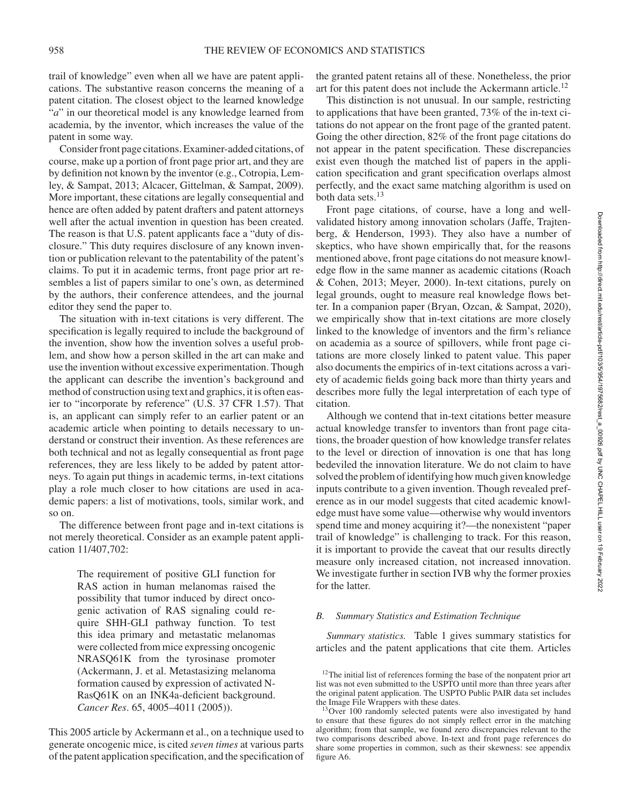trail of knowledge" even when all we have are patent applications. The substantive reason concerns the meaning of a patent citation. The closest object to the learned knowledge "*a*" in our theoretical model is any knowledge learned from academia, by the inventor, which increases the value of the patent in some way.

Consider front page citations. Examiner-added citations, of course, make up a portion of front page prior art, and they are by definition not known by the inventor (e.g., Cotropia, Lemley, & Sampat, 2013; Alcacer, Gittelman, & Sampat, 2009). More important, these citations are legally consequential and hence are often added by patent drafters and patent attorneys well after the actual invention in question has been created. The reason is that U.S. patent applicants face a "duty of disclosure." This duty requires disclosure of any known invention or publication relevant to the patentability of the patent's claims. To put it in academic terms, front page prior art resembles a list of papers similar to one's own, as determined by the authors, their conference attendees, and the journal editor they send the paper to.

The situation with in-text citations is very different. The specification is legally required to include the background of the invention, show how the invention solves a useful problem, and show how a person skilled in the art can make and use the invention without excessive experimentation. Though the applicant can describe the invention's background and method of construction using text and graphics, it is often easier to "incorporate by reference" (U.S. 37 CFR 1.57). That is, an applicant can simply refer to an earlier patent or an academic article when pointing to details necessary to understand or construct their invention. As these references are both technical and not as legally consequential as front page references, they are less likely to be added by patent attorneys. To again put things in academic terms, in-text citations play a role much closer to how citations are used in academic papers: a list of motivations, tools, similar work, and so on.

The difference between front page and in-text citations is not merely theoretical. Consider as an example patent application 11/407,702:

> The requirement of positive GLI function for RAS action in human melanomas raised the possibility that tumor induced by direct oncogenic activation of RAS signaling could require SHH-GLI pathway function. To test this idea primary and metastatic melanomas were collected from mice expressing oncogenic NRASQ61K from the tyrosinase promoter (Ackermann, J. et al. Metastasizing melanoma formation caused by expression of activated N-RasQ61K on an INK4a-deficient background. *Cancer Res*. 65, 4005–4011 (2005)).

This 2005 article by Ackermann et al., on a technique used to generate oncogenic mice, is cited *seven times* at various parts of the patent application specification, and the specification of

the granted patent retains all of these. Nonetheless, the prior art for this patent does not include the Ackermann article.<sup>12</sup>

This distinction is not unusual. In our sample, restricting to applications that have been granted, 73% of the in-text citations do not appear on the front page of the granted patent. Going the other direction, 82% of the front page citations do not appear in the patent specification. These discrepancies exist even though the matched list of papers in the application specification and grant specification overlaps almost perfectly, and the exact same matching algorithm is used on both data sets.<sup>13</sup>

Front page citations, of course, have a long and wellvalidated history among innovation scholars (Jaffe, Trajtenberg, & Henderson, 1993). They also have a number of skeptics, who have shown empirically that, for the reasons mentioned above, front page citations do not measure knowledge flow in the same manner as academic citations (Roach & Cohen, 2013; Meyer, 2000). In-text citations, purely on legal grounds, ought to measure real knowledge flows better. In a companion paper (Bryan, Ozcan, & Sampat, 2020), we empirically show that in-text citations are more closely linked to the knowledge of inventors and the firm's reliance on academia as a source of spillovers, while front page citations are more closely linked to patent value. This paper also documents the empirics of in-text citations across a variety of academic fields going back more than thirty years and describes more fully the legal interpretation of each type of citation.

Although we contend that in-text citations better measure actual knowledge transfer to inventors than front page citations, the broader question of how knowledge transfer relates to the level or direction of innovation is one that has long bedeviled the innovation literature. We do not claim to have solved the problem of identifying how much given knowledge inputs contribute to a given invention. Though revealed preference as in our model suggests that cited academic knowledge must have some value—otherwise why would inventors spend time and money acquiring it?—the nonexistent "paper trail of knowledge" is challenging to track. For this reason, it is important to provide the caveat that our results directly measure only increased citation, not increased innovation. We investigate further in section IVB why the former proxies for the latter.

#### *B. Summary Statistics and Estimation Technique*

*Summary statistics.* Table 1 gives summary statistics for articles and the patent applications that cite them. Articles

<sup>&</sup>lt;sup>12</sup>The initial list of references forming the base of the nonpatent prior art list was not even submitted to the USPTO until more than three years after the original patent application. The USPTO Public PAIR data set includes the Image File Wrappers with these dates.

<sup>&</sup>lt;sup>13</sup>Over 100 randomly selected patents were also investigated by hand to ensure that these figures do not simply reflect error in the matching algorithm; from that sample, we found zero discrepancies relevant to the two comparisons described above. In-text and front page references do share some properties in common, such as their skewness: see appendix figure A6.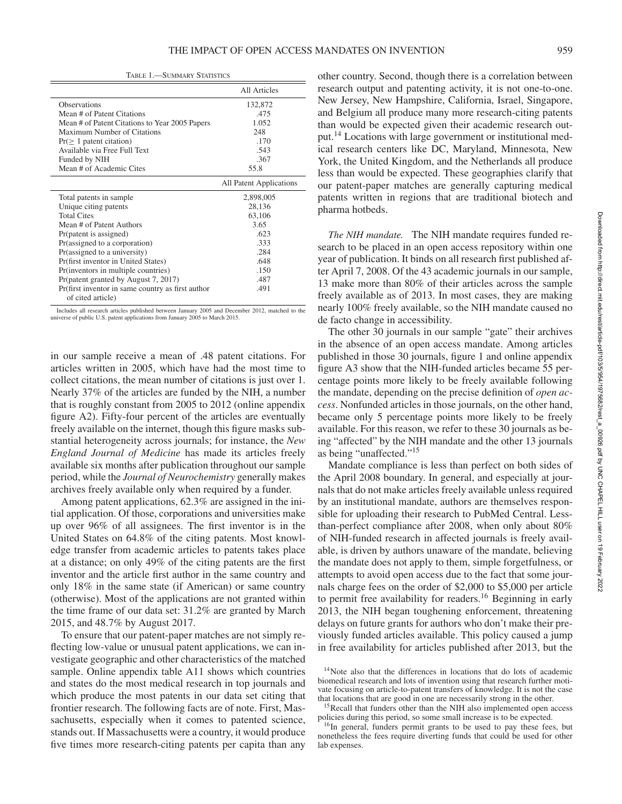TABLE 1.—SUMMARY STATISTICS

|                                                   | <b>All Articles</b>     |
|---------------------------------------------------|-------------------------|
| Observations                                      | 132,872                 |
| Mean # of Patent Citations                        | .475                    |
| Mean # of Patent Citations to Year 2005 Papers    | 1.052                   |
| Maximum Number of Citations                       | 248                     |
| $Pr(\geq 1$ patent citation)                      | .170                    |
| Available via Free Full Text                      | .543                    |
| Funded by NIH                                     | .367                    |
| Mean # of Academic Cites                          | 55.8                    |
|                                                   | All Patent Applications |
|                                                   |                         |
| Total patents in sample                           | 2,898,005               |
| Unique citing patents                             | 28,136                  |
| <b>Total Cites</b>                                | 63,106                  |
| Mean # of Patent Authors                          | 3.65                    |
| Pr(patent is assigned)                            | .623                    |
| Pr(assigned to a corporation)                     | .333                    |
| Pr(assigned to a university)                      | .284                    |
| Pr(first inventor in United States)               | .648                    |
| Pr(inventors in multiple countries)               | .150                    |
| Pr(patent granted by August 7, 2017)              | .487                    |
| Pr(first inventor in same country as first author | .491                    |

Includes all research articles published between January 2005 and December 2012, matched to the universe of public U.S. patent applications from January 2005 to March 2015.

in our sample receive a mean of .48 patent citations. For articles written in 2005, which have had the most time to collect citations, the mean number of citations is just over 1. Nearly 37% of the articles are funded by the NIH, a number that is roughly constant from 2005 to 2012 (online appendix figure A2). Fifty-four percent of the articles are eventually freely available on the internet, though this figure masks substantial heterogeneity across journals; for instance, the *New England Journal of Medicine* has made its articles freely available six months after publication throughout our sample period, while the *Journal of Neurochemistry* generally makes archives freely available only when required by a funder.

Among patent applications, 62.3% are assigned in the initial application. Of those, corporations and universities make up over 96% of all assignees. The first inventor is in the United States on 64.8% of the citing patents. Most knowledge transfer from academic articles to patents takes place at a distance; on only 49% of the citing patents are the first inventor and the article first author in the same country and only 18% in the same state (if American) or same country (otherwise). Most of the applications are not granted within the time frame of our data set: 31.2% are granted by March 2015, and 48.7% by August 2017.

To ensure that our patent-paper matches are not simply reflecting low-value or unusual patent applications, we can investigate geographic and other characteristics of the matched sample. Online appendix table A11 shows which countries and states do the most medical research in top journals and which produce the most patents in our data set citing that frontier research. The following facts are of note. First, Massachusetts, especially when it comes to patented science, stands out. If Massachusetts were a country, it would produce five times more research-citing patents per capita than any

other country. Second, though there is a correlation between research output and patenting activity, it is not one-to-one. New Jersey, New Hampshire, California, Israel, Singapore, and Belgium all produce many more research-citing patents than would be expected given their academic research output.<sup>14</sup> Locations with large government or institutional medical research centers like DC, Maryland, Minnesota, New York, the United Kingdom, and the Netherlands all produce less than would be expected. These geographies clarify that our patent-paper matches are generally capturing medical patents written in regions that are traditional biotech and pharma hotbeds.

*The NIH mandate.* The NIH mandate requires funded research to be placed in an open access repository within one year of publication. It binds on all research first published after April 7, 2008. Of the 43 academic journals in our sample, 13 make more than 80% of their articles across the sample freely available as of 2013. In most cases, they are making nearly 100% freely available, so the NIH mandate caused no de facto change in accessibility.

The other 30 journals in our sample "gate" their archives in the absence of an open access mandate. Among articles published in those 30 journals, figure 1 and online appendix figure A3 show that the NIH-funded articles became 55 percentage points more likely to be freely available following the mandate, depending on the precise definition of *open access*. Nonfunded articles in those journals, on the other hand, became only 5 percentage points more likely to be freely available. For this reason, we refer to these 30 journals as being "affected" by the NIH mandate and the other 13 journals as being "unaffected."<sup>15</sup>

Mandate compliance is less than perfect on both sides of the April 2008 boundary. In general, and especially at journals that do not make articles freely available unless required by an institutional mandate, authors are themselves responsible for uploading their research to PubMed Central. Lessthan-perfect compliance after 2008, when only about 80% of NIH-funded research in affected journals is freely available, is driven by authors unaware of the mandate, believing the mandate does not apply to them, simple forgetfulness, or attempts to avoid open access due to the fact that some journals charge fees on the order of \$2,000 to \$5,000 per article to permit free availability for readers.<sup>16</sup> Beginning in early 2013, the NIH began toughening enforcement, threatening delays on future grants for authors who don't make their previously funded articles available. This policy caused a jump in free availability for articles published after 2013, but the

<sup>&</sup>lt;sup>14</sup>Note also that the differences in locations that do lots of academic biomedical research and lots of invention using that research further motivate focusing on article-to-patent transfers of knowledge. It is not the case that locations that are good in one are necessarily strong in the other.

<sup>&</sup>lt;sup>15</sup>Recall that funders other than the NIH also implemented open access policies during this period, so some small increase is to be expected.

<sup>&</sup>lt;sup>16</sup>In general, funders permit grants to be used to pay these fees, but nonetheless the fees require diverting funds that could be used for other lab expenses.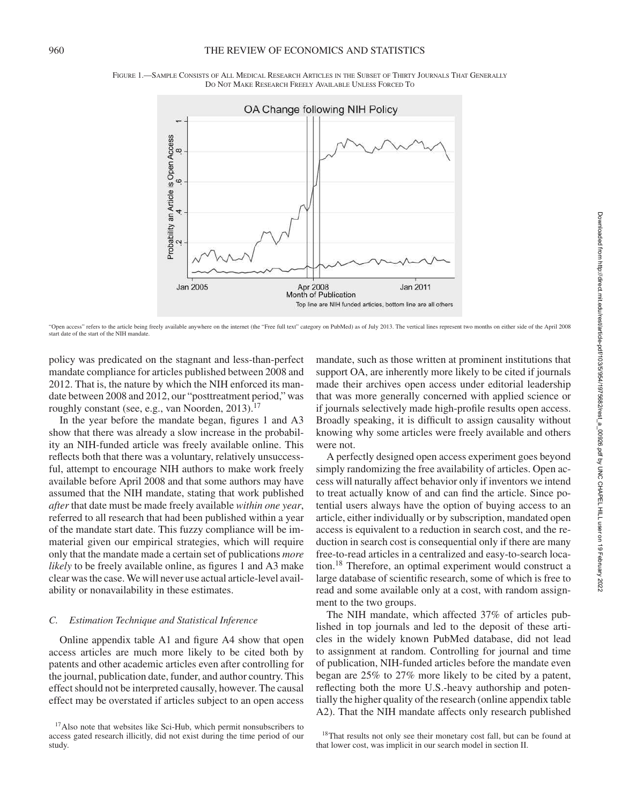

FIGURE 1.—SAMPLE CONSISTS OF ALL MEDICAL RESEARCH ARTICLES IN THE SUBSET OF THIRTY JOURNALS THAT GENERALLY DO NOT MAKE RESEARCH FREELY AVAILABLE UNLESS FORCED TO

"Open access" refers to the article being freely available anywhere on the internet (the "Free full text" category on PubMed) as of July 2013. The vertical lines represent two months on either side of the April 2008 start date of the start of the NIH mandate.

policy was predicated on the stagnant and less-than-perfect mandate compliance for articles published between 2008 and 2012. That is, the nature by which the NIH enforced its mandate between 2008 and 2012, our "posttreatment period," was roughly constant (see, e.g., van Noorden, 2013).<sup>17</sup>

In the year before the mandate began, figures 1 and A3 show that there was already a slow increase in the probability an NIH-funded article was freely available online. This reflects both that there was a voluntary, relatively unsuccessful, attempt to encourage NIH authors to make work freely available before April 2008 and that some authors may have assumed that the NIH mandate, stating that work published *after* that date must be made freely available *within one year*, referred to all research that had been published within a year of the mandate start date. This fuzzy compliance will be immaterial given our empirical strategies, which will require only that the mandate made a certain set of publications *more likely* to be freely available online, as figures 1 and A3 make clear was the case. We will never use actual article-level availability or nonavailability in these estimates.

#### *C. Estimation Technique and Statistical Inference*

Online appendix table A1 and figure A4 show that open access articles are much more likely to be cited both by patents and other academic articles even after controlling for the journal, publication date, funder, and author country. This effect should not be interpreted causally, however. The causal effect may be overstated if articles subject to an open access

mandate, such as those written at prominent institutions that support OA, are inherently more likely to be cited if journals made their archives open access under editorial leadership that was more generally concerned with applied science or if journals selectively made high-profile results open access. Broadly speaking, it is difficult to assign causality without knowing why some articles were freely available and others were not.

A perfectly designed open access experiment goes beyond simply randomizing the free availability of articles. Open access will naturally affect behavior only if inventors we intend to treat actually know of and can find the article. Since potential users always have the option of buying access to an article, either individually or by subscription, mandated open access is equivalent to a reduction in search cost, and the reduction in search cost is consequential only if there are many free-to-read articles in a centralized and easy-to-search location.<sup>18</sup> Therefore, an optimal experiment would construct a large database of scientific research, some of which is free to read and some available only at a cost, with random assignment to the two groups.

The NIH mandate, which affected 37% of articles published in top journals and led to the deposit of these articles in the widely known PubMed database, did not lead to assignment at random. Controlling for journal and time of publication, NIH-funded articles before the mandate even began are 25% to 27% more likely to be cited by a patent, reflecting both the more U.S.-heavy authorship and potentially the higher quality of the research (online appendix table A2). That the NIH mandate affects only research published

<sup>&</sup>lt;sup>17</sup>Also note that websites like Sci-Hub, which permit nonsubscribers to access gated research illicitly, did not exist during the time period of our study.

<sup>&</sup>lt;sup>18</sup>That results not only see their monetary cost fall, but can be found at that lower cost, was implicit in our search model in section II.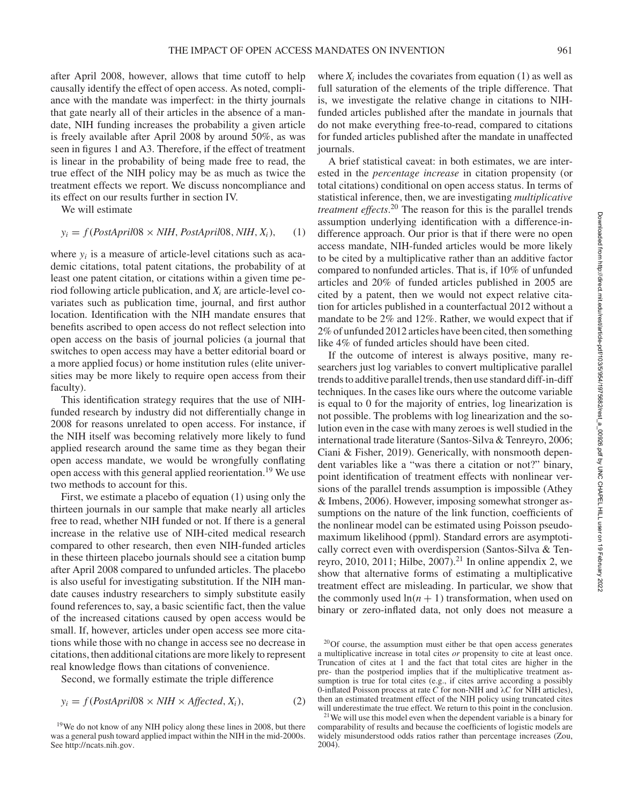after April 2008, however, allows that time cutoff to help causally identify the effect of open access. As noted, compliance with the mandate was imperfect: in the thirty journals that gate nearly all of their articles in the absence of a mandate, NIH funding increases the probability a given article is freely available after April 2008 by around 50%, as was seen in figures 1 and A3. Therefore, if the effect of treatment is linear in the probability of being made free to read, the true effect of the NIH policy may be as much as twice the treatment effects we report. We discuss noncompliance and its effect on our results further in section IV.

We will estimate

$$
y_i = f(PostApril08 \times NIH, PostApril08, NIH, X_i), \quad (1)
$$

where  $y_i$  is a measure of article-level citations such as academic citations, total patent citations, the probability of at least one patent citation, or citations within a given time period following article publication, and *X<sup>i</sup>* are article-level covariates such as publication time, journal, and first author location. Identification with the NIH mandate ensures that benefits ascribed to open access do not reflect selection into open access on the basis of journal policies (a journal that switches to open access may have a better editorial board or a more applied focus) or home institution rules (elite universities may be more likely to require open access from their faculty).

This identification strategy requires that the use of NIHfunded research by industry did not differentially change in 2008 for reasons unrelated to open access. For instance, if the NIH itself was becoming relatively more likely to fund applied research around the same time as they began their open access mandate, we would be wrongfully conflating open access with this general applied reorientation.<sup>19</sup> We use two methods to account for this.

First, we estimate a placebo of equation (1) using only the thirteen journals in our sample that make nearly all articles free to read, whether NIH funded or not. If there is a general increase in the relative use of NIH-cited medical research compared to other research, then even NIH-funded articles in these thirteen placebo journals should see a citation bump after April 2008 compared to unfunded articles. The placebo is also useful for investigating substitution. If the NIH mandate causes industry researchers to simply substitute easily found references to, say, a basic scientific fact, then the value of the increased citations caused by open access would be small. If, however, articles under open access see more citations while those with no change in access see no decrease in citations, then additional citations are more likely to represent real knowledge flows than citations of convenience.

Second, we formally estimate the triple difference

$$
y_i = f(PostApril08 \times NIH \times Affected, X_i),
$$
 (2)

where  $X_i$  includes the covariates from equation (1) as well as full saturation of the elements of the triple difference. That is, we investigate the relative change in citations to NIHfunded articles published after the mandate in journals that do not make everything free-to-read, compared to citations for funded articles published after the mandate in unaffected journals.

A brief statistical caveat: in both estimates, we are interested in the *percentage increase* in citation propensity (or total citations) conditional on open access status. In terms of statistical inference, then, we are investigating *multiplicative treatment effects*. <sup>20</sup> The reason for this is the parallel trends assumption underlying identification with a difference-indifference approach. Our prior is that if there were no open access mandate, NIH-funded articles would be more likely to be cited by a multiplicative rather than an additive factor compared to nonfunded articles. That is, if 10% of unfunded articles and 20% of funded articles published in 2005 are cited by a patent, then we would not expect relative citation for articles published in a counterfactual 2012 without a mandate to be 2% and 12%. Rather, we would expect that if 2% of unfunded 2012 articles have been cited, then something like 4% of funded articles should have been cited.

If the outcome of interest is always positive, many researchers just log variables to convert multiplicative parallel trends to additive parallel trends, then use standard diff-in-diff techniques. In the cases like ours where the outcome variable is equal to 0 for the majority of entries, log linearization is not possible. The problems with log linearization and the solution even in the case with many zeroes is well studied in the international trade literature (Santos-Silva & Tenreyro, 2006; Ciani & Fisher, 2019). Generically, with nonsmooth dependent variables like a "was there a citation or not?" binary, point identification of treatment effects with nonlinear versions of the parallel trends assumption is impossible (Athey & Imbens, 2006). However, imposing somewhat stronger assumptions on the nature of the link function, coefficients of the nonlinear model can be estimated using Poisson pseudomaximum likelihood (ppml). Standard errors are asymptotically correct even with overdispersion (Santos-Silva & Tenreyro, 2010, 2011; Hilbe, 2007).<sup>21</sup> In online appendix 2, we show that alternative forms of estimating a multiplicative treatment effect are misleading. In particular, we show that the commonly used  $ln(n + 1)$  transformation, when used on binary or zero-inflated data, not only does not measure a

<sup>&</sup>lt;sup>19</sup>We do not know of any NIH policy along these lines in 2008, but there was a general push toward applied impact within the NIH in the mid-2000s. See http://ncats.nih.gov.

<sup>&</sup>lt;sup>20</sup>Of course, the assumption must either be that open access generates a multiplicative increase in total cites *or* propensity to cite at least once. Truncation of cites at 1 and the fact that total cites are higher in the pre- than the postperiod implies that if the multiplicative treatment assumption is true for total cites (e.g., if cites arrive according a possibly 0-inflated Poisson process at rate *C* for non-NIH and λ*C* for NIH articles), then an estimated treatment effect of the NIH policy using truncated cites will underestimate the true effect. We return to this point in the conclusion.

<sup>21</sup>We will use this model even when the dependent variable is a binary for comparability of results and because the coefficients of logistic models are widely misunderstood odds ratios rather than percentage increases (Zou, 2004).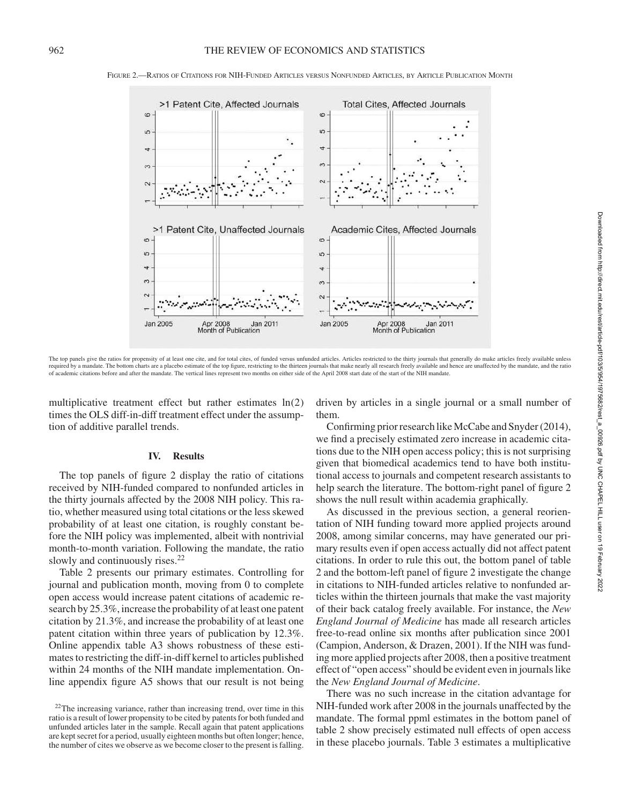

FIGURE 2.—RATIOS OF CITATIONS FOR NIH-FUNDED ARTICLES VERSUS NONFUNDED ARTICLES, BY ARTICLE PUBLICATION MONTH

The top panels give the ratios for propensity of at least one cite, and for total cites, of funded versus unfunded articles. Articles restricted to the thirty journals that generally do make articles freely available unles required by a mandate. The bottom charts are a placebo estimate of the top figure, restricting to the thirteen journals that make nearly all research freely available and hence are unaffected by the mandate, and the ratio of academic citations before and after the mandate. The vertical lines represent two months on either side of the April 2008 start date of the start of the NIH mandate.

multiplicative treatment effect but rather estimates ln(2) times the OLS diff-in-diff treatment effect under the assumption of additive parallel trends.

## **IV. Results**

The top panels of figure 2 display the ratio of citations received by NIH-funded compared to nonfunded articles in the thirty journals affected by the 2008 NIH policy. This ratio, whether measured using total citations or the less skewed probability of at least one citation, is roughly constant before the NIH policy was implemented, albeit with nontrivial month-to-month variation. Following the mandate, the ratio slowly and continuously rises.<sup>22</sup>

Table 2 presents our primary estimates. Controlling for journal and publication month, moving from 0 to complete open access would increase patent citations of academic research by 25.3%, increase the probability of at least one patent citation by 21.3%, and increase the probability of at least one patent citation within three years of publication by 12.3%. Online appendix table A3 shows robustness of these estimates to restricting the diff-in-diff kernel to articles published within 24 months of the NIH mandate implementation. Online appendix figure A5 shows that our result is not being driven by articles in a single journal or a small number of them.

Confirming prior research like McCabe and Snyder (2014), we find a precisely estimated zero increase in academic citations due to the NIH open access policy; this is not surprising given that biomedical academics tend to have both institutional access to journals and competent research assistants to help search the literature. The bottom-right panel of figure 2 shows the null result within academia graphically.

As discussed in the previous section, a general reorientation of NIH funding toward more applied projects around 2008, among similar concerns, may have generated our primary results even if open access actually did not affect patent citations. In order to rule this out, the bottom panel of table 2 and the bottom-left panel of figure 2 investigate the change in citations to NIH-funded articles relative to nonfunded articles within the thirteen journals that make the vast majority of their back catalog freely available. For instance, the *New England Journal of Medicine* has made all research articles free-to-read online six months after publication since 2001 (Campion, Anderson, & Drazen, 2001). If the NIH was funding more applied projects after 2008, then a positive treatment effect of "open access" should be evident even in journals like the *New England Journal of Medicine*.

There was no such increase in the citation advantage for NIH-funded work after 2008 in the journals unaffected by the mandate. The formal ppml estimates in the bottom panel of table 2 show precisely estimated null effects of open access in these placebo journals. Table 3 estimates a multiplicative

 $22$ The increasing variance, rather than increasing trend, over time in this ratio is a result of lower propensity to be cited by patents for both funded and unfunded articles later in the sample. Recall again that patent applications are kept secret for a period, usually eighteen months but often longer; hence, the number of cites we observe as we become closer to the present is falling.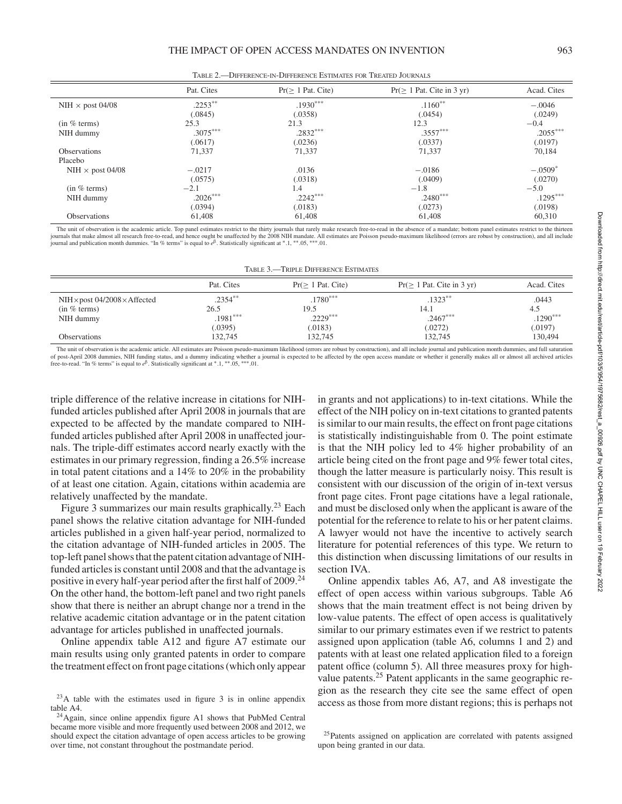|                         | Pat. Cites | $Pr(> 1$ Pat. Cite) | $Pr(\geq 1$ Pat. Cite in 3 yr) | Acad. Cites           |
|-------------------------|------------|---------------------|--------------------------------|-----------------------|
| NIH $\times$ post 04/08 | $.2253***$ | $.1930***$          | $.1160**$                      | $-.0046$              |
|                         | (.0845)    | (.0358)             | (.0454)                        | (.0249)               |
| (in % terms)            | 25.3       | 21.3                | 12.3                           | $-0.4$                |
| NIH dummy               | $.3075***$ | $.2832***$          | $.3557***$                     | $.2055***$            |
|                         | (.0617)    | (.0236)             | (.0337)                        | (.0197)               |
| <b>Observations</b>     | 71,337     | 71,337              | 71,337                         | 70,184                |
| Placebo                 |            |                     |                                |                       |
| NIH $\times$ post 04/08 | $-.0217$   | .0136               | $-.0186$                       | $-.0509$ <sup>*</sup> |
|                         | (.0575)    | (.0318)             | (.0409)                        | (.0270)               |
| (in % terms)            | $-2.1$     | 1.4                 | $-1.8$                         | $-5.0$                |
| NIH dummy               | $.2026***$ | $.2242***$          | $.2480***$                     | $.1295***$            |
|                         | (.0394)    | (.0183)             | (.0273)                        | (.0198)               |
| <b>Observations</b>     | 61,408     | 61,408              | 61,408                         | 60,310                |

TABLE 2.—DIFFERENCE-IN-DIFFERENCE ESTIMATES FOR TREATED JOURNALS

The unit of observation is the academic article. Top panel estimates restrict to the thirty journals that rarely make research free-to-read in the absence of a mandate; bottom panel estimates restrict to the thirteen<br>journ journal and publication month dummies. "In % terms" is equal to *e* β . Statistically significant at <sup>∗</sup> .1, ∗∗.05, ∗∗∗.01.

| TABLE 3.-TRIPLE DIFFERENCE ESTIMATES                                   |                                             |                                             |                                            |                                       |  |
|------------------------------------------------------------------------|---------------------------------------------|---------------------------------------------|--------------------------------------------|---------------------------------------|--|
|                                                                        | Pat. Cites                                  | $Pr(> 1$ Pat. Cite)                         | $Pr(\geq 1$ Pat. Cite in 3 yr)             | Acad. Cites                           |  |
| $NIH \times post 04/2008 \times Affected$<br>(in % terms)<br>NIH dummy | $.2354***$<br>26.5<br>$.1981***$<br>(.0395) | $.1780***$<br>19.5<br>$.2229***$<br>(.0183) | $.1323**$<br>14.1<br>$.2467***$<br>(.0272) | .0443<br>4.5<br>$.1290***$<br>(.0197) |  |
| <b>Observations</b>                                                    | 132,745                                     | 132.745                                     | 132,745                                    | 130,494                               |  |

The unit of observation is the academic article. All estimates are Poisson pseudo-maximum likelihood (errors are robust by construction), and all include journal and publication month dummies, and full saturation of post-April 2008 dummies, NIH funding status, and a dummy indicating whether a journal is expected to be affected by the open access mandate or whether it generally makes all or almost all archived articles<br>free-to-read.

triple difference of the relative increase in citations for NIHfunded articles published after April 2008 in journals that are expected to be affected by the mandate compared to NIHfunded articles published after April 2008 in unaffected journals. The triple-diff estimates accord nearly exactly with the estimates in our primary regression, finding a 26.5% increase in total patent citations and a 14% to 20% in the probability of at least one citation. Again, citations within academia are relatively unaffected by the mandate.

Figure 3 summarizes our main results graphically.<sup>23</sup> Each panel shows the relative citation advantage for NIH-funded articles published in a given half-year period, normalized to the citation advantage of NIH-funded articles in 2005. The top-left panel shows that the patent citation advantage of NIHfunded articles is constant until 2008 and that the advantage is positive in every half-year period after the first half of 2009.<sup>24</sup> On the other hand, the bottom-left panel and two right panels show that there is neither an abrupt change nor a trend in the relative academic citation advantage or in the patent citation advantage for articles published in unaffected journals.

Online appendix table A12 and figure A7 estimate our main results using only granted patents in order to compare the treatment effect on front page citations (which only appear

in grants and not applications) to in-text citations. While the effect of the NIH policy on in-text citations to granted patents is similar to our main results, the effect on front page citations is statistically indistinguishable from 0. The point estimate is that the NIH policy led to 4% higher probability of an article being cited on the front page and 9% fewer total cites, though the latter measure is particularly noisy. This result is consistent with our discussion of the origin of in-text versus front page cites. Front page citations have a legal rationale, and must be disclosed only when the applicant is aware of the potential for the reference to relate to his or her patent claims. A lawyer would not have the incentive to actively search literature for potential references of this type. We return to this distinction when discussing limitations of our results in section IVA.

Online appendix tables A6, A7, and A8 investigate the effect of open access within various subgroups. Table A6 shows that the main treatment effect is not being driven by low-value patents. The effect of open access is qualitatively similar to our primary estimates even if we restrict to patents assigned upon application (table A6, columns 1 and 2) and patents with at least one related application filed to a foreign patent office (column 5). All three measures proxy for highvalue patents.<sup>25</sup> Patent applicants in the same geographic region as the research they cite see the same effect of open access as those from more distant regions; this is perhaps not

<sup>23</sup>A table with the estimates used in figure 3 is in online appendix table A4.

<sup>&</sup>lt;sup>24</sup>Again, since online appendix figure A1 shows that PubMed Central became more visible and more frequently used between 2008 and 2012, we should expect the citation advantage of open access articles to be growing over time, not constant throughout the postmandate period.

<sup>&</sup>lt;sup>25</sup>Patents assigned on application are correlated with patents assigned upon being granted in our data.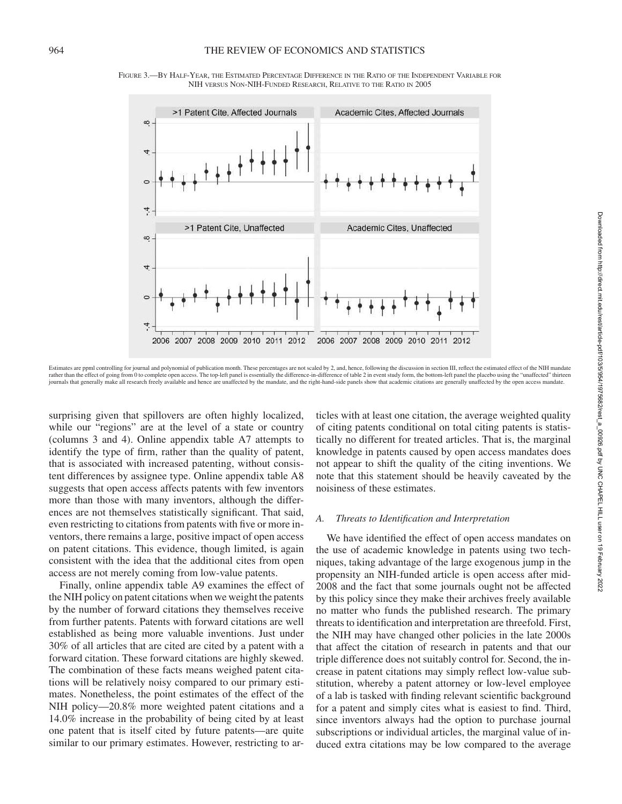![](_page_10_Figure_1.jpeg)

FIGURE 3.—BY HALF-YEAR, THE ESTIMATED PERCENTAGE DIFFERENCE IN THE RATIO OF THE INDEPENDENT VARIABLE FOR NIH VERSUS NON-NIH-FUNDED RESEARCH, RELATIVE TO THE RATIO IN 2005

Estimates are ppml controlling for journal and polynomial of publication month. These percentages are not scaled by 2, and, hence, following the discussion in section III, reflect the estimated effect of the NIH mandate rather than the effect of going from 0 to complete open access. The top-left panel is essentially the difference-in-difference of table 2 in event study form, the bottom-left panel the placebo using the "unaffected" thirte journals that generally make all research freely available and hence are unaffected by the mandate, and the right-hand-side panels show that academic citations are generally unaffected by the open access mandate.

surprising given that spillovers are often highly localized, while our "regions" are at the level of a state or country (columns 3 and 4). Online appendix table A7 attempts to identify the type of firm, rather than the quality of patent, that is associated with increased patenting, without consistent differences by assignee type. Online appendix table A8 suggests that open access affects patents with few inventors more than those with many inventors, although the differences are not themselves statistically significant. That said, even restricting to citations from patents with five or more inventors, there remains a large, positive impact of open access on patent citations. This evidence, though limited, is again consistent with the idea that the additional cites from open access are not merely coming from low-value patents.

Finally, online appendix table A9 examines the effect of the NIH policy on patent citations when we weight the patents by the number of forward citations they themselves receive from further patents. Patents with forward citations are well established as being more valuable inventions. Just under 30% of all articles that are cited are cited by a patent with a forward citation. These forward citations are highly skewed. The combination of these facts means weighed patent citations will be relatively noisy compared to our primary estimates. Nonetheless, the point estimates of the effect of the NIH policy—20.8% more weighted patent citations and a 14.0% increase in the probability of being cited by at least one patent that is itself cited by future patents—are quite similar to our primary estimates. However, restricting to ar-

ticles with at least one citation, the average weighted quality of citing patents conditional on total citing patents is statistically no different for treated articles. That is, the marginal knowledge in patents caused by open access mandates does not appear to shift the quality of the citing inventions. We note that this statement should be heavily caveated by the noisiness of these estimates.

#### *A. Threats to Identification and Interpretation*

We have identified the effect of open access mandates on the use of academic knowledge in patents using two techniques, taking advantage of the large exogenous jump in the propensity an NIH-funded article is open access after mid-2008 and the fact that some journals ought not be affected by this policy since they make their archives freely available no matter who funds the published research. The primary threats to identification and interpretation are threefold. First, the NIH may have changed other policies in the late 2000s that affect the citation of research in patents and that our triple difference does not suitably control for. Second, the increase in patent citations may simply reflect low-value substitution, whereby a patent attorney or low-level employee of a lab is tasked with finding relevant scientific background for a patent and simply cites what is easiest to find. Third, since inventors always had the option to purchase journal subscriptions or individual articles, the marginal value of induced extra citations may be low compared to the average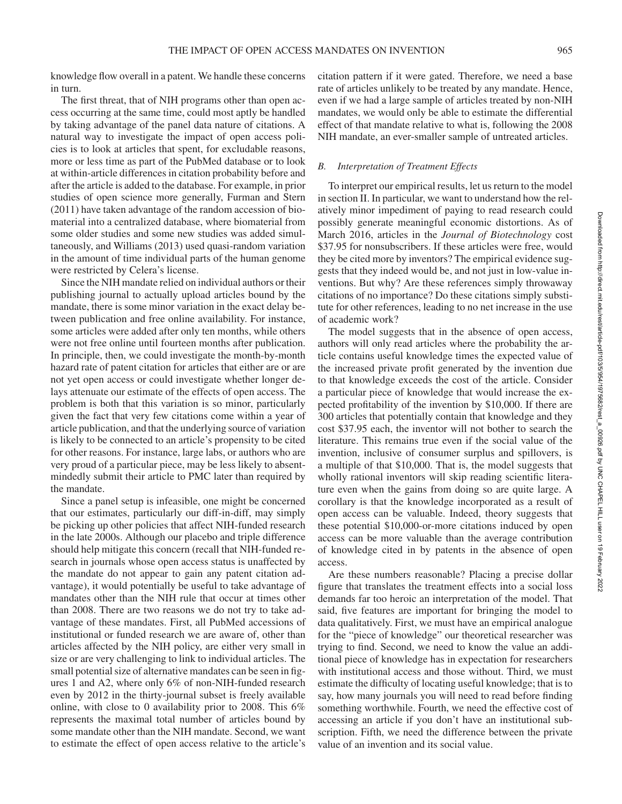knowledge flow overall in a patent. We handle these concerns in turn.

The first threat, that of NIH programs other than open access occurring at the same time, could most aptly be handled by taking advantage of the panel data nature of citations. A natural way to investigate the impact of open access policies is to look at articles that spent, for excludable reasons, more or less time as part of the PubMed database or to look at within-article differences in citation probability before and after the article is added to the database. For example, in prior studies of open science more generally, Furman and Stern (2011) have taken advantage of the random accession of biomaterial into a centralized database, where biomaterial from some older studies and some new studies was added simultaneously, and Williams (2013) used quasi-random variation in the amount of time individual parts of the human genome were restricted by Celera's license.

Since the NIH mandate relied on individual authors or their publishing journal to actually upload articles bound by the mandate, there is some minor variation in the exact delay between publication and free online availability. For instance, some articles were added after only ten months, while others were not free online until fourteen months after publication. In principle, then, we could investigate the month-by-month hazard rate of patent citation for articles that either are or are not yet open access or could investigate whether longer delays attenuate our estimate of the effects of open access. The problem is both that this variation is so minor, particularly given the fact that very few citations come within a year of article publication, and that the underlying source of variation is likely to be connected to an article's propensity to be cited for other reasons. For instance, large labs, or authors who are very proud of a particular piece, may be less likely to absentmindedly submit their article to PMC later than required by the mandate.

Since a panel setup is infeasible, one might be concerned that our estimates, particularly our diff-in-diff, may simply be picking up other policies that affect NIH-funded research in the late 2000s. Although our placebo and triple difference should help mitigate this concern (recall that NIH-funded research in journals whose open access status is unaffected by the mandate do not appear to gain any patent citation advantage), it would potentially be useful to take advantage of mandates other than the NIH rule that occur at times other than 2008. There are two reasons we do not try to take advantage of these mandates. First, all PubMed accessions of institutional or funded research we are aware of, other than articles affected by the NIH policy, are either very small in size or are very challenging to link to individual articles. The small potential size of alternative mandates can be seen in figures 1 and A2, where only 6% of non-NIH-funded research even by 2012 in the thirty-journal subset is freely available online, with close to 0 availability prior to 2008. This 6% represents the maximal total number of articles bound by some mandate other than the NIH mandate. Second, we want to estimate the effect of open access relative to the article's citation pattern if it were gated. Therefore, we need a base rate of articles unlikely to be treated by any mandate. Hence, even if we had a large sample of articles treated by non-NIH mandates, we would only be able to estimate the differential effect of that mandate relative to what is, following the 2008 NIH mandate, an ever-smaller sample of untreated articles.

#### *B. Interpretation of Treatment Effects*

To interpret our empirical results, let us return to the model in section II. In particular, we want to understand how the relatively minor impediment of paying to read research could possibly generate meaningful economic distortions. As of March 2016, articles in the *Journal of Biotechnology* cost \$37.95 for nonsubscribers. If these articles were free, would they be cited more by inventors? The empirical evidence suggests that they indeed would be, and not just in low-value inventions. But why? Are these references simply throwaway citations of no importance? Do these citations simply substitute for other references, leading to no net increase in the use of academic work?

The model suggests that in the absence of open access, authors will only read articles where the probability the article contains useful knowledge times the expected value of the increased private profit generated by the invention due to that knowledge exceeds the cost of the article. Consider a particular piece of knowledge that would increase the expected profitability of the invention by \$10,000. If there are 300 articles that potentially contain that knowledge and they cost \$37.95 each, the inventor will not bother to search the literature. This remains true even if the social value of the invention, inclusive of consumer surplus and spillovers, is a multiple of that \$10,000. That is, the model suggests that wholly rational inventors will skip reading scientific literature even when the gains from doing so are quite large. A corollary is that the knowledge incorporated as a result of open access can be valuable. Indeed, theory suggests that these potential \$10,000-or-more citations induced by open access can be more valuable than the average contribution of knowledge cited in by patents in the absence of open access.

Are these numbers reasonable? Placing a precise dollar figure that translates the treatment effects into a social loss demands far too heroic an interpretation of the model. That said, five features are important for bringing the model to data qualitatively. First, we must have an empirical analogue for the "piece of knowledge" our theoretical researcher was trying to find. Second, we need to know the value an additional piece of knowledge has in expectation for researchers with institutional access and those without. Third, we must estimate the difficulty of locating useful knowledge; that is to say, how many journals you will need to read before finding something worthwhile. Fourth, we need the effective cost of accessing an article if you don't have an institutional subscription. Fifth, we need the difference between the private value of an invention and its social value.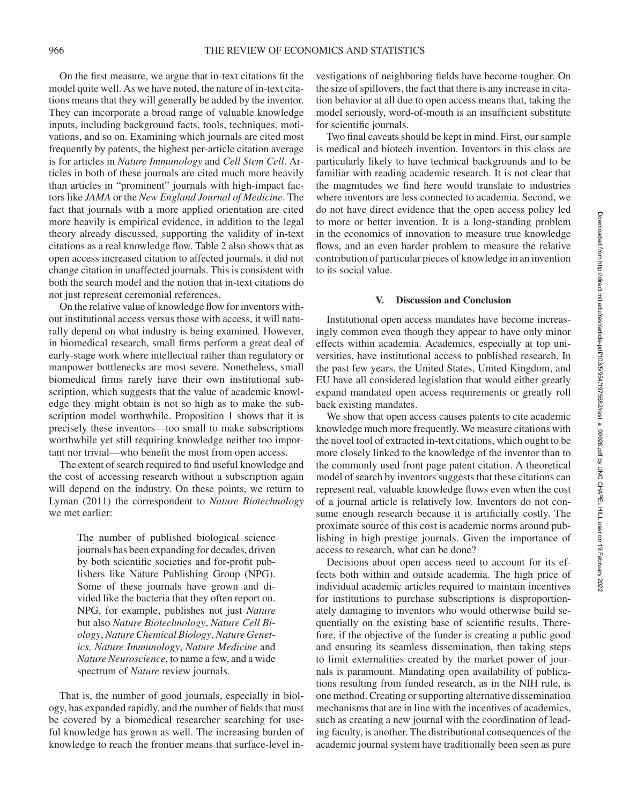On the first measure, we argue that in-text citations fit the model quite well. As we have noted, the nature of in-text citations means that they will generally be added by the inventor. They can incorporate a broad range of valuable knowledge inputs, including background facts, tools, techniques, motivations, and so on. Examining which journals are cited most frequently by patents, the highest per-article citation average is for articles in *Nature Immunology* and *Cell Stem Cell*. Articles in both of these journals are cited much more heavily than articles in "prominent" journals with high-impact factors like *JAMA* or the *New England Journal of Medicine*. The fact that journals with a more applied orientation are cited more heavily is empirical evidence, in addition to the legal theory already discussed, supporting the validity of in-text citations as a real knowledge flow. Table 2 also shows that as open access increased citation to affected journals, it did not change citation in unaffected journals. This is consistent with both the search model and the notion that in-text citations do not just represent ceremonial references.

On the relative value of knowledge flow for inventors without institutional access versus those with access, it will naturally depend on what industry is being examined. However, in biomedical research, small firms perform a great deal of early-stage work where intellectual rather than regulatory or manpower bottlenecks are most severe. Nonetheless, small biomedical firms rarely have their own institutional subscription, which suggests that the value of academic knowledge they might obtain is not so high as to make the subscription model worthwhile. Proposition 1 shows that it is precisely these inventors—too small to make subscriptions worthwhile yet still requiring knowledge neither too important nor trivial—who benefit the most from open access.

The extent of search required to find useful knowledge and the cost of accessing research without a subscription again will depend on the industry. On these points, we return to Lyman (2011) the correspondent to *Nature Biotechnology* we met earlier:

> The number of published biological science journals has been expanding for decades, driven by both scientific societies and for-profit publishers like Nature Publishing Group (NPG). Some of these journals have grown and divided like the bacteria that they often report on. NPG, for example, publishes not just *Nature* but also *Nature Biotechnology*, *Nature Cell Biology*,*Nature Chemical Biology*,*Nature Genetics, Nature Immunology*, *Nature Medicine* and *Nature Neuroscience*, to name a few, and a wide spectrum of *Nature* review journals.

That is, the number of good journals, especially in biology, has expanded rapidly, and the number of fields that must be covered by a biomedical researcher searching for useful knowledge has grown as well. The increasing burden of knowledge to reach the frontier means that surface-level in-

vestigations of neighboring fields have become tougher. On the size of spillovers, the fact that there is any increase in citation behavior at all due to open access means that, taking the model seriously, word-of-mouth is an insufficient substitute for scientific journals.

Two final caveats should be kept in mind. First, our sample is medical and biotech invention. Inventors in this class are particularly likely to have technical backgrounds and to be familiar with reading academic research. It is not clear that the magnitudes we find here would translate to industries where inventors are less connected to academia. Second, we do not have direct evidence that the open access policy led to more or better invention. It is a long-standing problem in the economics of innovation to measure true knowledge flows, and an even harder problem to measure the relative contribution of particular pieces of knowledge in an invention to its social value.

#### **V. Discussion and Conclusion**

Institutional open access mandates have become increasingly common even though they appear to have only minor effects within academia. Academics, especially at top universities, have institutional access to published research. In the past few years, the United States, United Kingdom, and EU have all considered legislation that would either greatly expand mandated open access requirements or greatly roll back existing mandates.

We show that open access causes patents to cite academic knowledge much more frequently. We measure citations with the novel tool of extracted in-text citations, which ought to be more closely linked to the knowledge of the inventor than to the commonly used front page patent citation. A theoretical model of search by inventors suggests that these citations can represent real, valuable knowledge flows even when the cost of a journal article is relatively low. Inventors do not consume enough research because it is artificially costly. The proximate source of this cost is academic norms around publishing in high-prestige journals. Given the importance of access to research, what can be done?

Decisions about open access need to account for its effects both within and outside academia. The high price of individual academic articles required to maintain incentives for institutions to purchase subscriptions is disproportionately damaging to inventors who would otherwise build sequentially on the existing base of scientific results. Therefore, if the objective of the funder is creating a public good and ensuring its seamless dissemination, then taking steps to limit externalities created by the market power of journals is paramount. Mandating open availability of publications resulting from funded research, as in the NIH rule, is one method. Creating or supporting alternative dissemination mechanisms that are in line with the incentives of academics, such as creating a new journal with the coordination of leading faculty, is another. The distributional consequences of the academic journal system have traditionally been seen as pure